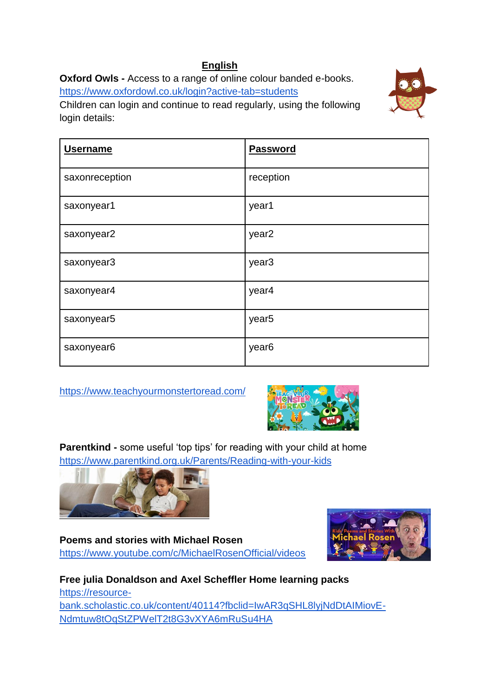## **English**

**Oxford Owls -** Access to a range of online colour banded e-books. <https://www.oxfordowl.co.uk/login?active-tab=students>

Children can login and continue to read regularly, using the following login details:



| <b>Username</b> | <b>Password</b>   |
|-----------------|-------------------|
| saxonreception  | reception         |
| saxonyear1      | year1             |
| saxonyear2      | year <sub>2</sub> |
| saxonyear3      | year <sub>3</sub> |
| saxonyear4      | year4             |
| saxonyear5      | year <sub>5</sub> |
| saxonyear6      | year <sub>6</sub> |

<https://www.teachyourmonstertoread.com/>



**Parentkind -** some useful 'top tips' for reading with your child at home <https://www.parentkind.org.uk/Parents/Reading-with-your-kids>



**Poems and stories with Michael Rosen** <https://www.youtube.com/c/MichaelRosenOfficial/videos>



**Free julia Donaldson and Axel Scheffler Home learning packs** [https://resource](https://resource-bank.scholastic.co.uk/content/40114?fbclid=IwAR3qSHL8lyjNdDtAIMiovE-Ndmtuw8tOqStZPWelT2t8G3vXYA6mRuSu4HA)[bank.scholastic.co.uk/content/40114?fbclid=IwAR3qSHL8lyjNdDtAIMiovE-](https://resource-bank.scholastic.co.uk/content/40114?fbclid=IwAR3qSHL8lyjNdDtAIMiovE-Ndmtuw8tOqStZPWelT2t8G3vXYA6mRuSu4HA)[Ndmtuw8tOqStZPWelT2t8G3vXYA6mRuSu4HA](https://resource-bank.scholastic.co.uk/content/40114?fbclid=IwAR3qSHL8lyjNdDtAIMiovE-Ndmtuw8tOqStZPWelT2t8G3vXYA6mRuSu4HA)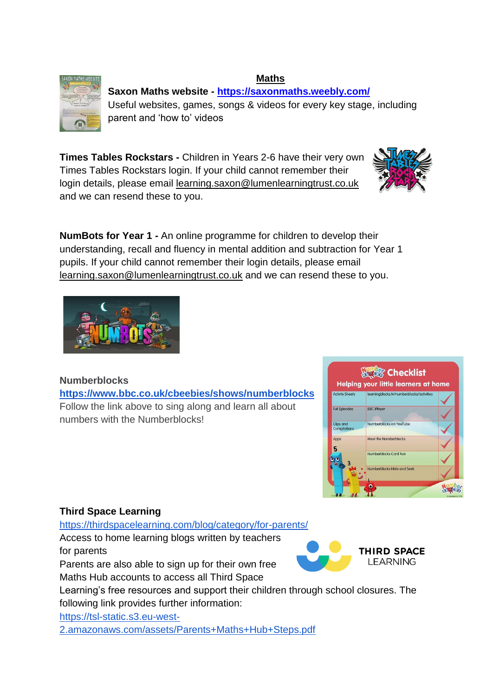#### **Maths Saxon Maths website - <https://saxonmaths.weebly.com/>** Useful websites, games, songs & videos for every key stage, including parent and 'how to' videos

**Times Tables Rockstars -** Children in Years 2-6 have their very own Times Tables Rockstars login. If your child cannot remember their login details, please email [learning.saxon@lumenlearningtrust.co.uk](mailto:learning.saxon@lumenlearningtrust.co.uk) and we can resend these to you.

**NumBots for Year 1 -** An online programme for children to develop their understanding, recall and fluency in mental addition and subtraction for Year 1 pupils. If your child cannot remember their login details, please email [learning.saxon@lumenlearningtrust.co.uk](mailto:learning.saxon@lumenlearningtrust.co.uk) and we can resend these to you.

## **Numberblocks**

**<https://www.bbc.co.uk/cbeebies/shows/numberblocks>** Follow the link above to sing along and learn all about numbers with the Numberblocks!

## **Third Space Learning**

<https://thirdspacelearning.com/blog/category/for-parents/>

Access to home learning blogs written by teachers for parents Parents are also able to sign up for their own free

Maths Hub accounts to access all Third Space

Learning's free resources and support their children through school closures. The following link provides further information:

[https://tsl-static.s3.eu-west-](https://tsl-static.s3.eu-west-2.amazonaws.com/assets/Parents+Maths+Hub+Steps.pdf)

[2.amazonaws.com/assets/Parents+Maths+Hub+Steps.pdf](https://tsl-static.s3.eu-west-2.amazonaws.com/assets/Parents+Maths+Hub+Steps.pdf)







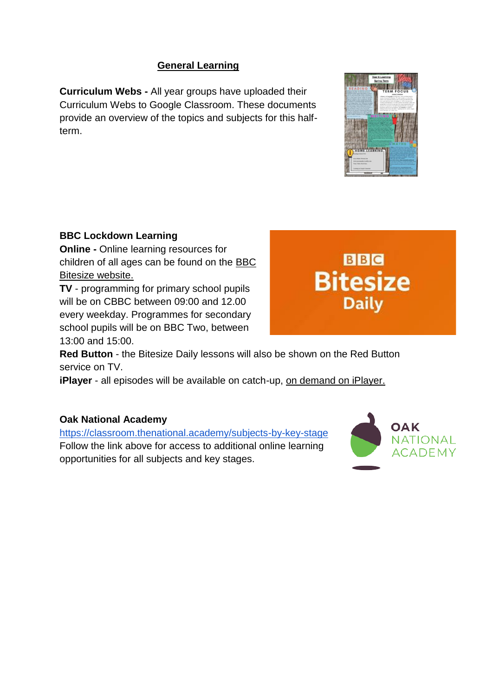### **General Learning**

**Curriculum Webs -** All year groups have uploaded their Curriculum Webs to Google Classroom. These documents provide an overview of the topics and subjects for this halfterm.

#### **BBC Lockdown Learning**

**Online -** Online learning resources for children of all ages can be found on the [BBC](https://www.bbc.co.uk/bitesize)  [Bitesize website.](https://www.bbc.co.uk/bitesize)

**TV** - programming for primary school pupils will be on CBBC between 09:00 and 12.00 every weekday. Programmes for secondary school pupils will be on BBC Two, between 13:00 and 15:00.

**Red Button** - the Bitesize Daily lessons will also be shown on the Red Button service on TV.

**iPlayer** - all episodes will be available on catch-up, [on demand on iPlayer.](https://www.bbc.co.uk/iplayer/group/p093cv85)

#### **Oak National Academy**

<https://classroom.thenational.academy/subjects-by-key-stage> Follow the link above for access to additional online learning opportunities for all subjects and key stages.





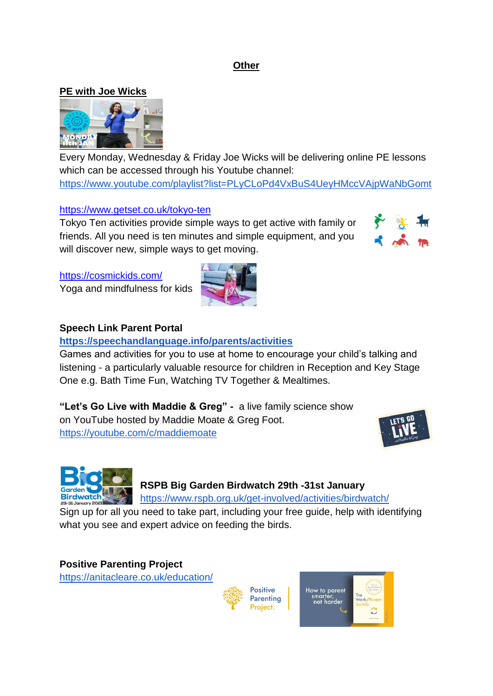#### **Other**

#### **PE with Joe Wicks**



Every Monday, Wednesday & Friday Joe Wicks will be delivering online PE lessons which can be accessed through his Youtube channel:

<https://www.youtube.com/playlist?list=PLyCLoPd4VxBuS4UeyHMccVAjpWaNbGomt>

#### <https://www.getset.co.uk/tokyo-ten>

Tokyo Ten activities provide simple ways to get active with family or friends. All you need is ten minutes and simple equipment, and you will discover new, simple ways to get moving.



<https://cosmickids.com/>

Yoga and mindfulness for kids



#### **Speech Link Parent Portal**

#### **<https://speechandlanguage.info/parents/activities>**

Games and activities for you to use at home to encourage your child's talking and listening - a particularly valuable resource for children in Reception and Key Stage One e.g. Bath Time Fun, Watching TV Together & Mealtimes.

**"Let's Go Live with Maddie & Greg" -** a live family science show on YouTube hosted by Maddie Moate & Greg Foot. <https://youtube.com/c/maddiemoate>





# **RSPB Big Garden Birdwatch 29th -31st January**

<https://www.rspb.org.uk/get-involved/activities/birdwatch/>

[Sign up](https://www.rspb.org.uk/get-involved/activities/birdwatch/packrequest/) for all you need to take part, including your free guide, help with identifying what you see and expert advice on feeding the birds.

#### **[Positive Parenting Project](https://anitacleare.co.uk/education/)**

<https://anitacleare.co.uk/education/>



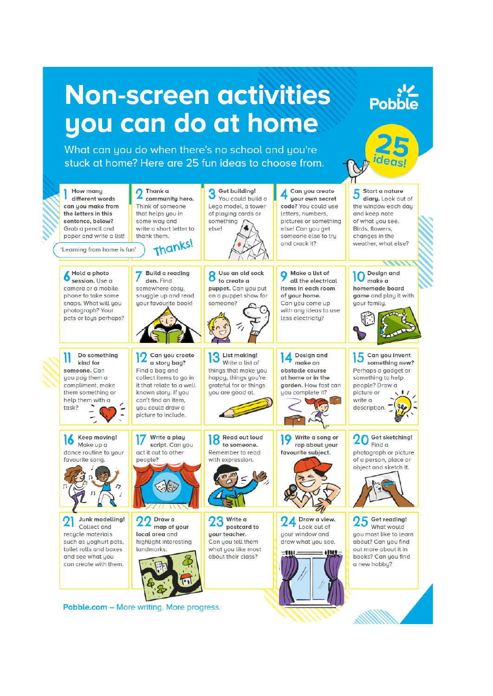